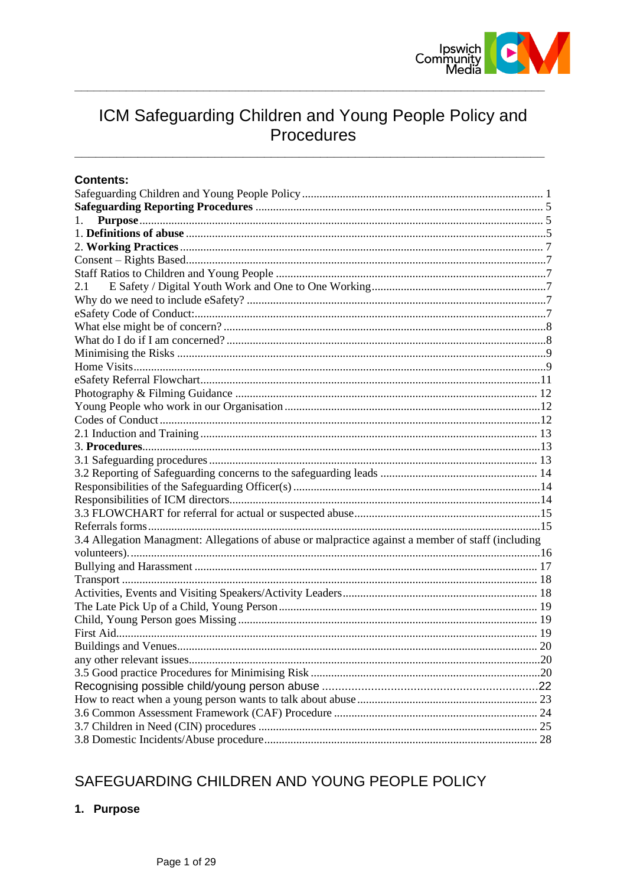

# ICM Safeguarding Children and Young People Policy and Procedures

# **Contents:**

| 1.                                                                                                 |  |
|----------------------------------------------------------------------------------------------------|--|
|                                                                                                    |  |
|                                                                                                    |  |
|                                                                                                    |  |
|                                                                                                    |  |
| 2.1                                                                                                |  |
|                                                                                                    |  |
|                                                                                                    |  |
|                                                                                                    |  |
|                                                                                                    |  |
|                                                                                                    |  |
|                                                                                                    |  |
|                                                                                                    |  |
|                                                                                                    |  |
|                                                                                                    |  |
|                                                                                                    |  |
|                                                                                                    |  |
|                                                                                                    |  |
|                                                                                                    |  |
|                                                                                                    |  |
|                                                                                                    |  |
|                                                                                                    |  |
|                                                                                                    |  |
|                                                                                                    |  |
| 3.4 Allegation Managment: Allegations of abuse or malpractice against a member of staff (including |  |
|                                                                                                    |  |
|                                                                                                    |  |
|                                                                                                    |  |
|                                                                                                    |  |
|                                                                                                    |  |
|                                                                                                    |  |
|                                                                                                    |  |
|                                                                                                    |  |
|                                                                                                    |  |
|                                                                                                    |  |
|                                                                                                    |  |
|                                                                                                    |  |
|                                                                                                    |  |
|                                                                                                    |  |
|                                                                                                    |  |

# <span id="page-0-0"></span>SAFEGUARDING CHILDREN AND YOUNG PEOPLE POLICY

# 1. Purpose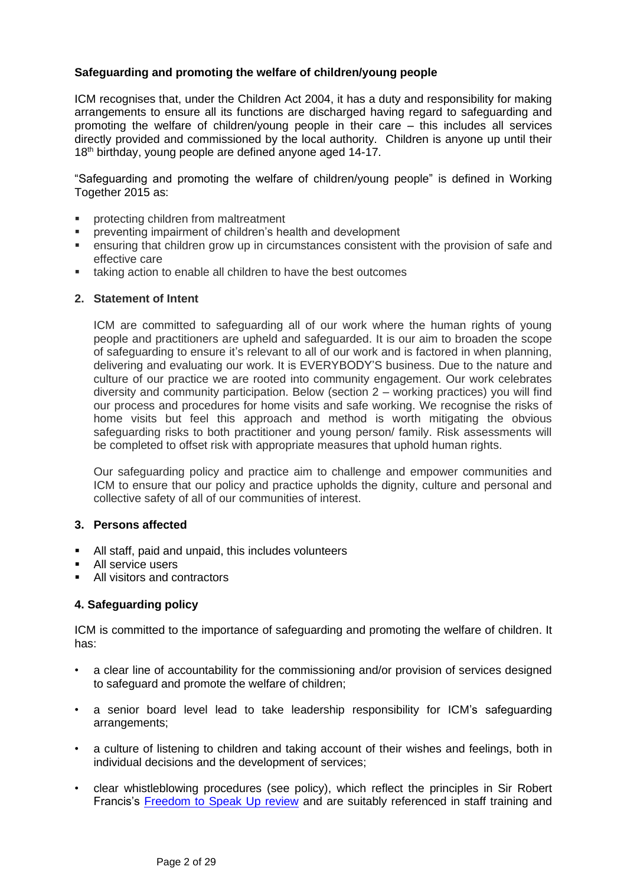## **Safeguarding and promoting the welfare of children/young people**

ICM recognises that, under the Children Act 2004, it has a duty and responsibility for making arrangements to ensure all its functions are discharged having regard to safeguarding and promoting the welfare of children/young people in their care – this includes all services directly provided and commissioned by the local authority. Children is anyone up until their 18<sup>th</sup> birthday, young people are defined anyone aged 14-17.

"Safeguarding and promoting the welfare of children/young people" is defined in Working Together 2015 as:

- protecting children from maltreatment
- preventing impairment of children's health and development
- ensuring that children grow up in circumstances consistent with the provision of safe and effective care
- taking action to enable all children to have the best outcomes

#### **2. Statement of Intent**

ICM are committed to safeguarding all of our work where the human rights of young people and practitioners are upheld and safeguarded. It is our aim to broaden the scope of safeguarding to ensure it's relevant to all of our work and is factored in when planning, delivering and evaluating our work. It is EVERYBODY'S business. Due to the nature and culture of our practice we are rooted into community engagement. Our work celebrates diversity and community participation. Below (section 2 – working practices) you will find our process and procedures for home visits and safe working. We recognise the risks of home visits but feel this approach and method is worth mitigating the obvious safeguarding risks to both practitioner and young person/ family. Risk assessments will be completed to offset risk with appropriate measures that uphold human rights.

Our safeguarding policy and practice aim to challenge and empower communities and ICM to ensure that our policy and practice upholds the dignity, culture and personal and collective safety of all of our communities of interest.

## **3. Persons affected**

- All staff, paid and unpaid, this includes volunteers
- All service users
- All visitors and contractors

## **4. Safeguarding policy**

ICM is committed to the importance of safeguarding and promoting the welfare of children. It has:

- a clear line of accountability for the commissioning and/or provision of services designed to safeguard and promote the welfare of children;
- a senior board level lead to take leadership responsibility for ICM's safeguarding arrangements;
- a culture of listening to children and taking account of their wishes and feelings, both in individual decisions and the development of services;
- clear whistleblowing procedures (see policy), which reflect the principles in Sir Robert Francis's [Freedom to Speak Up review](http://freedomtospeakup.org.uk/wp-content/uploads/2014/07/F2SU_web.pdf) and are suitably referenced in staff training and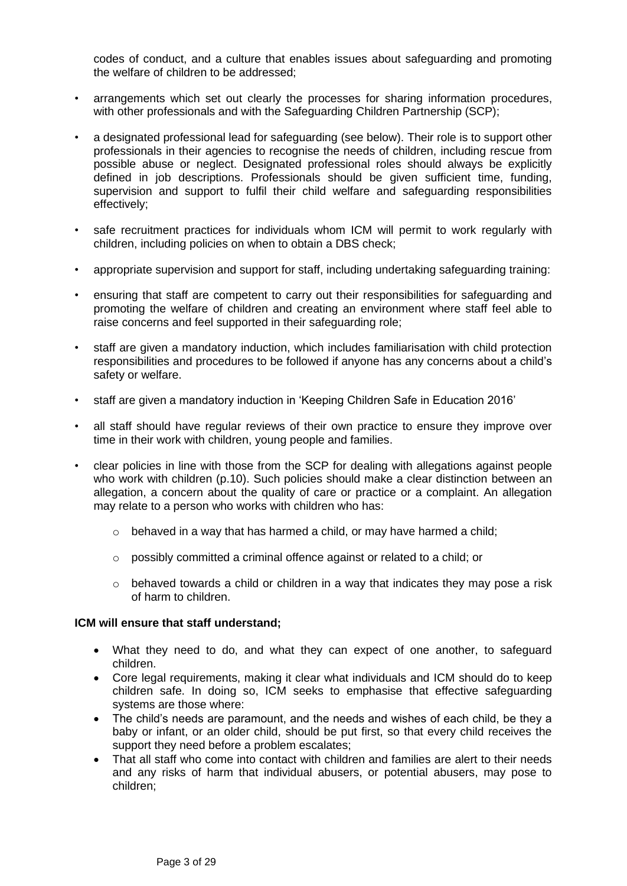codes of conduct, and a culture that enables issues about safeguarding and promoting the welfare of children to be addressed;

- arrangements which set out clearly the processes for sharing information procedures, with other professionals and with the Safeguarding Children Partnership (SCP);
- a designated professional lead for safeguarding (see below). Their role is to support other professionals in their agencies to recognise the needs of children, including rescue from possible abuse or neglect. Designated professional roles should always be explicitly defined in job descriptions. Professionals should be given sufficient time, funding, supervision and support to fulfil their child welfare and safeguarding responsibilities effectively;
- safe recruitment practices for individuals whom ICM will permit to work reqularly with children, including policies on when to obtain a DBS check;
- appropriate supervision and support for staff, including undertaking safeguarding training:
- ensuring that staff are competent to carry out their responsibilities for safeguarding and promoting the welfare of children and creating an environment where staff feel able to raise concerns and feel supported in their safeguarding role;
- staff are given a mandatory induction, which includes familiarisation with child protection responsibilities and procedures to be followed if anyone has any concerns about a child's safety or welfare.
- staff are given a mandatory induction in 'Keeping Children Safe in Education 2016'
- all staff should have regular reviews of their own practice to ensure they improve over time in their work with children, young people and families.
- clear policies in line with those from the SCP for dealing with allegations against people who work with children (p.10). Such policies should make a clear distinction between an allegation, a concern about the quality of care or practice or a complaint. An allegation may relate to a person who works with children who has:
	- $\circ$  behaved in a way that has harmed a child, or may have harmed a child;
	- o possibly committed a criminal offence against or related to a child; or
	- $\circ$  behaved towards a child or children in a way that indicates they may pose a risk of harm to children.

#### **ICM will ensure that staff understand;**

- What they need to do, and what they can expect of one another, to safeguard children.
- Core legal requirements, making it clear what individuals and ICM should do to keep children safe. In doing so, ICM seeks to emphasise that effective safeguarding systems are those where:
- The child's needs are paramount, and the needs and wishes of each child, be they a baby or infant, or an older child, should be put first, so that every child receives the support they need before a problem escalates;
- That all staff who come into contact with children and families are alert to their needs and any risks of harm that individual abusers, or potential abusers, may pose to children;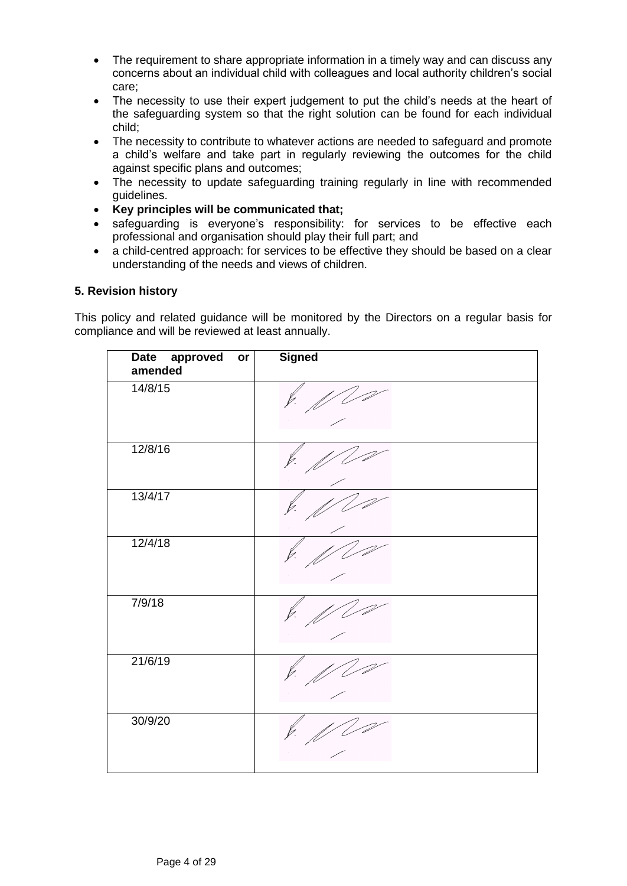- The requirement to share appropriate information in a timely way and can discuss any concerns about an individual child with colleagues and local authority children's social care;
- The necessity to use their expert judgement to put the child's needs at the heart of the safeguarding system so that the right solution can be found for each individual child;
- The necessity to contribute to whatever actions are needed to safeguard and promote a child's welfare and take part in regularly reviewing the outcomes for the child against specific plans and outcomes;
- The necessity to update safeguarding training regularly in line with recommended guidelines.
- **Key principles will be communicated that;**
- safeguarding is everyone's responsibility: for services to be effective each professional and organisation should play their full part; and
- a child-centred approach: for services to be effective they should be based on a clear understanding of the needs and views of children.

## **5. Revision history**

This policy and related guidance will be monitored by the Directors on a regular basis for compliance and will be reviewed at least annually.

| <b>Date</b><br>approved<br>or<br>amended | <b>Signed</b> |
|------------------------------------------|---------------|
| 14/8/15                                  |               |
| 12/8/16                                  |               |
| 13/4/17                                  |               |
| 12/4/18                                  |               |
| 7/9/18                                   |               |
| 21/6/19                                  |               |
| 30/9/20                                  |               |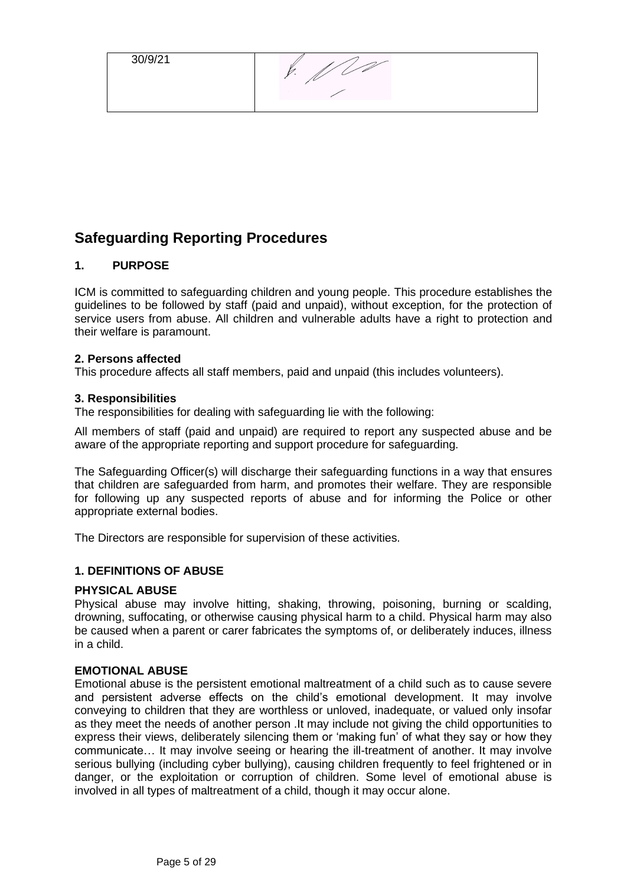30/9/21

 $\oint$  ,  $\oint$  00

# <span id="page-4-0"></span>**Safeguarding Reporting Procedures**

## <span id="page-4-1"></span>**1. PURPOSE**

ICM is committed to safeguarding children and young people. This procedure establishes the guidelines to be followed by staff (paid and unpaid), without exception, for the protection of service users from abuse. All children and vulnerable adults have a right to protection and their welfare is paramount.

#### **2. Persons affected**

This procedure affects all staff members, paid and unpaid (this includes volunteers).

#### **3. Responsibilities**

The responsibilities for dealing with safeguarding lie with the following:

All members of staff (paid and unpaid) are required to report any suspected abuse and be aware of the appropriate reporting and support procedure for safeguarding.

The Safeguarding Officer(s) will discharge their safeguarding functions in a way that ensures that children are safeguarded from harm, and promotes their welfare. They are responsible for following up any suspected reports of abuse and for informing the Police or other appropriate external bodies.

The Directors are responsible for supervision of these activities.

## <span id="page-4-2"></span>**1. DEFINITIONS OF ABUSE**

#### **PHYSICAL ABUSE**

Physical abuse may involve hitting, shaking, throwing, poisoning, burning or scalding, drowning, suffocating, or otherwise causing physical harm to a child. Physical harm may also be caused when a parent or carer fabricates the symptoms of, or deliberately induces, illness in a child.

#### **EMOTIONAL ABUSE**

Emotional abuse is the persistent emotional maltreatment of a child such as to cause severe and persistent adverse effects on the child's emotional development. It may involve conveying to children that they are worthless or unloved, inadequate, or valued only insofar as they meet the needs of another person .It may include not giving the child opportunities to express their views, deliberately silencing them or 'making fun' of what they say or how they communicate… It may involve seeing or hearing the ill-treatment of another. It may involve serious bullying (including cyber bullying), causing children frequently to feel frightened or in danger, or the exploitation or corruption of children. Some level of emotional abuse is involved in all types of maltreatment of a child, though it may occur alone.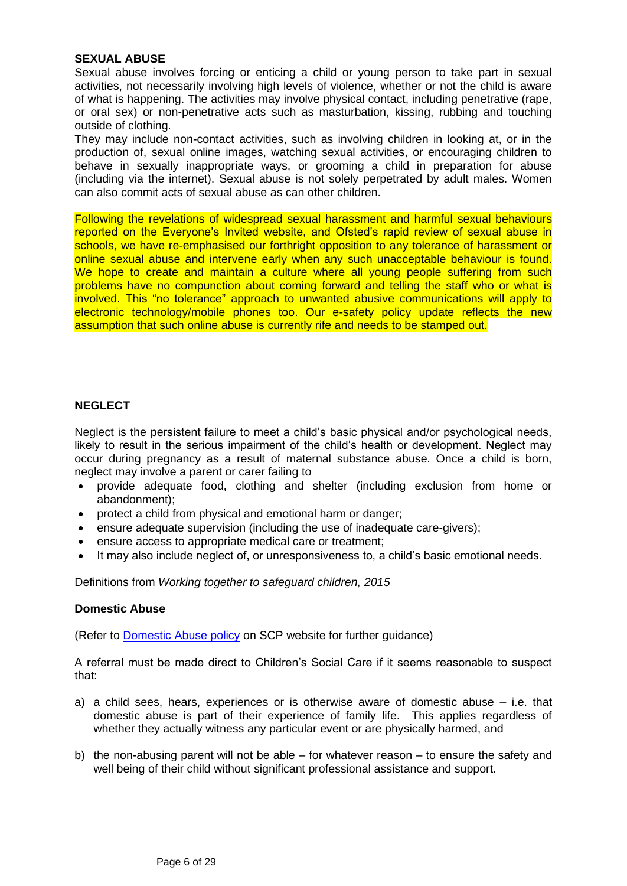#### **SEXUAL ABUSE**

Sexual abuse involves forcing or enticing a child or young person to take part in sexual activities, not necessarily involving high levels of violence, whether or not the child is aware of what is happening. The activities may involve physical contact, including penetrative (rape, or oral sex) or non-penetrative acts such as masturbation, kissing, rubbing and touching outside of clothing.

They may include non-contact activities, such as involving children in looking at, or in the production of, sexual online images, watching sexual activities, or encouraging children to behave in sexually inappropriate ways, or grooming a child in preparation for abuse (including via the internet). Sexual abuse is not solely perpetrated by adult males. Women can also commit acts of sexual abuse as can other children.

Following the revelations of widespread sexual harassment and harmful sexual behaviours reported on the Everyone's Invited website, and Ofsted's rapid review of sexual abuse in schools, we have re-emphasised our forthright opposition to any tolerance of harassment or online sexual abuse and intervene early when any such unacceptable behaviour is found. We hope to create and maintain a culture where all young people suffering from such problems have no compunction about coming forward and telling the staff who or what is involved. This "no tolerance" approach to unwanted abusive communications will apply to electronic technology/mobile phones too. Our e-safety policy update reflects the new assumption that such online abuse is currently rife and needs to be stamped out.

## **NEGLECT**

Neglect is the persistent failure to meet a child's basic physical and/or psychological needs, likely to result in the serious impairment of the child's health or development. Neglect may occur during pregnancy as a result of maternal substance abuse. Once a child is born, neglect may involve a parent or carer failing to

- provide adequate food, clothing and shelter (including exclusion from home or abandonment);
- protect a child from physical and emotional harm or danger;
- ensure adequate supervision (including the use of inadequate care-givers);
- ensure access to appropriate medical care or treatment;
- It may also include neglect of, or unresponsiveness to, a child's basic emotional needs.

Definitions from *Working together to safeguard children, 2015*

#### **Domestic Abuse**

(Refer to [Domestic Abuse policy](http://www.suffolkscb.org.uk/assets/files/2014/Jan-2012-SSCB-DV-Guidance.pdf) on SCP website for further guidance)

A referral must be made direct to Children's Social Care if it seems reasonable to suspect that:

- a) a child sees, hears, experiences or is otherwise aware of domestic abuse i.e. that domestic abuse is part of their experience of family life. This applies regardless of whether they actually witness any particular event or are physically harmed, and
- b) the non-abusing parent will not be able for whatever reason to ensure the safety and well being of their child without significant professional assistance and support.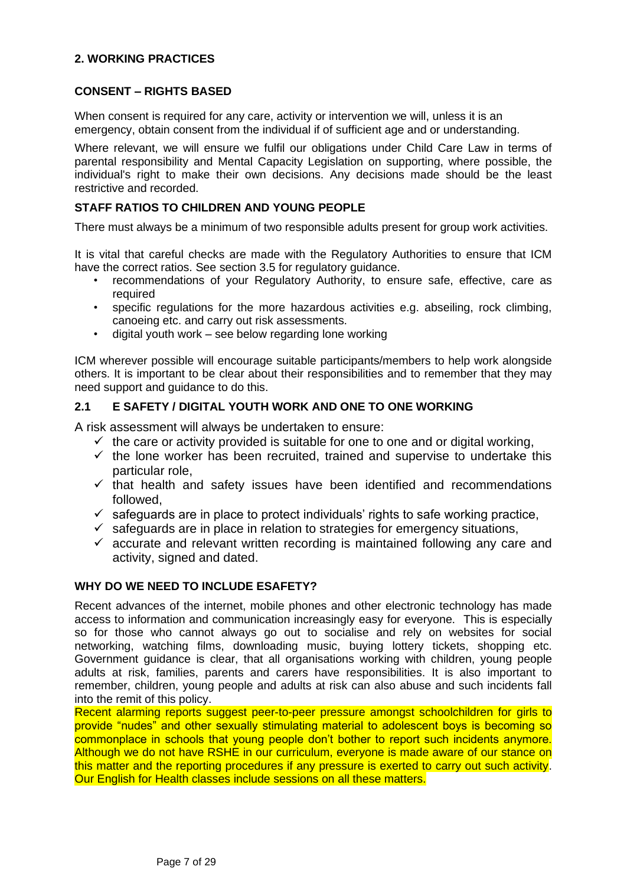## <span id="page-6-0"></span>**2. WORKING PRACTICES**

## <span id="page-6-1"></span>**CONSENT – RIGHTS BASED**

When consent is required for any care, activity or intervention we will, unless it is an emergency, obtain consent from the individual if of sufficient age and or understanding.

Where relevant, we will ensure we fulfil our obligations under Child Care Law in terms of parental responsibility and Mental Capacity Legislation on supporting, where possible, the individual's right to make their own decisions. Any decisions made should be the least restrictive and recorded.

## <span id="page-6-2"></span>**STAFF RATIOS TO CHILDREN AND YOUNG PEOPLE**

There must always be a minimum of two responsible adults present for group work activities.

It is vital that careful checks are made with the Regulatory Authorities to ensure that ICM have the correct ratios. See section 3.5 for regulatory guidance.

- recommendations of your Regulatory Authority, to ensure safe, effective, care as required
- specific regulations for the more hazardous activities e.g. abseiling, rock climbing, canoeing etc. and carry out risk assessments.
- digital youth work see below regarding lone working

ICM wherever possible will encourage suitable participants/members to help work alongside others. It is important to be clear about their responsibilities and to remember that they may need support and guidance to do this.

## <span id="page-6-3"></span>**2.1 E SAFETY / DIGITAL YOUTH WORK AND ONE TO ONE WORKING**

A risk assessment will always be undertaken to ensure:

- $\checkmark$  the care or activity provided is suitable for one to one and or digital working,
- $\checkmark$  the lone worker has been recruited, trained and supervise to undertake this particular role,
- $\checkmark$  that health and safety issues have been identified and recommendations followed,
- $\checkmark$  safeguards are in place to protect individuals' rights to safe working practice,
- $\checkmark$  safeguards are in place in relation to strategies for emergency situations,
- $\checkmark$  accurate and relevant written recording is maintained following any care and activity, signed and dated.

## <span id="page-6-4"></span>**WHY DO WE NEED TO INCLUDE ESAFETY?**

Recent advances of the internet, mobile phones and other electronic technology has made access to information and communication increasingly easy for everyone. This is especially so for those who cannot always go out to socialise and rely on websites for social networking, watching films, downloading music, buying lottery tickets, shopping etc. Government guidance is clear, that all organisations working with children, young people adults at risk, families, parents and carers have responsibilities. It is also important to remember, children, young people and adults at risk can also abuse and such incidents fall into the remit of this policy.

<span id="page-6-5"></span>Recent alarming reports suggest peer-to-peer pressure amongst schoolchildren for girls to provide "nudes" and other sexually stimulating material to adolescent boys is becoming so commonplace in schools that young people don't bother to report such incidents anymore. Although we do not have RSHE in our curriculum, everyone is made aware of our stance on this matter and the reporting procedures if any pressure is exerted to carry out such activity. Our English for Health classes include sessions on all these matters.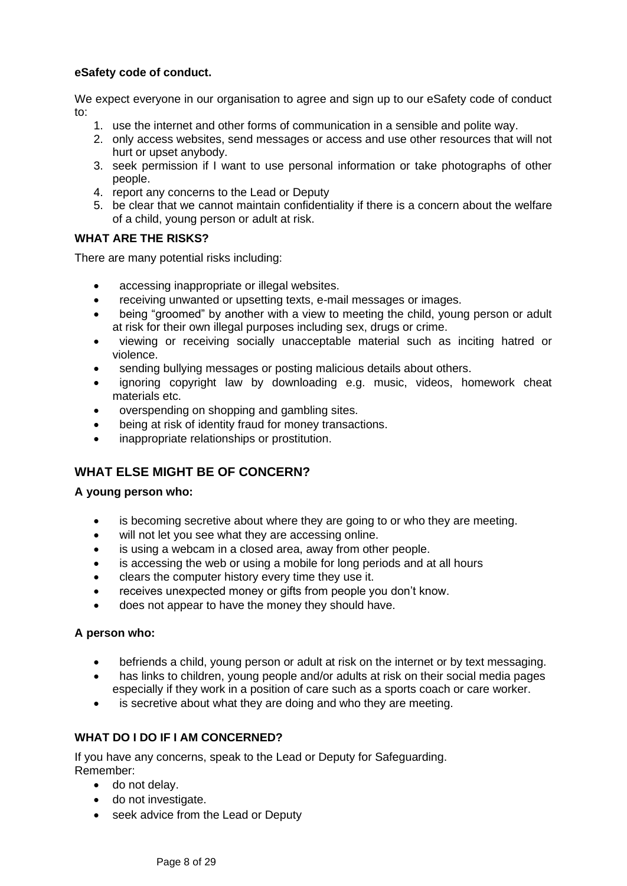## **eSafety code of conduct.**

We expect everyone in our organisation to agree and sign up to our eSafety code of conduct to:

- 1. use the internet and other forms of communication in a sensible and polite way.
- 2. only access websites, send messages or access and use other resources that will not hurt or upset anybody.
- 3. seek permission if I want to use personal information or take photographs of other people.
- 4. report any concerns to the Lead or Deputy
- 5. be clear that we cannot maintain confidentiality if there is a concern about the welfare of a child, young person or adult at risk.

## **WHAT ARE THE RISKS?**

There are many potential risks including:

- accessing inappropriate or illegal websites.
- receiving unwanted or upsetting texts, e-mail messages or images.
- being "groomed" by another with a view to meeting the child, young person or adult at risk for their own illegal purposes including sex, drugs or crime.
- viewing or receiving socially unacceptable material such as inciting hatred or violence.
- sending bullying messages or posting malicious details about others.
- ignoring copyright law by downloading e.g. music, videos, homework cheat materials etc.
- overspending on shopping and gambling sites.
- being at risk of identity fraud for money transactions.
- inappropriate relationships or prostitution.

## <span id="page-7-0"></span>**WHAT ELSE MIGHT BE OF CONCERN?**

#### **A young person who:**

- is becoming secretive about where they are going to or who they are meeting.
- will not let you see what they are accessing online.
- is using a webcam in a closed area, away from other people.
- is accessing the web or using a mobile for long periods and at all hours
- clears the computer history every time they use it.
- receives unexpected money or gifts from people you don't know.
- does not appear to have the money they should have.

## **A person who:**

- befriends a child, young person or adult at risk on the internet or by text messaging.
- has links to children, young people and/or adults at risk on their social media pages especially if they work in a position of care such as a sports coach or care worker.
- is secretive about what they are doing and who they are meeting.

## <span id="page-7-1"></span>**WHAT DO I DO IF I AM CONCERNED?**

If you have any concerns, speak to the Lead or Deputy for Safeguarding. Remember:

- do not delay.
- do not investigate.
- seek advice from the Lead or Deputy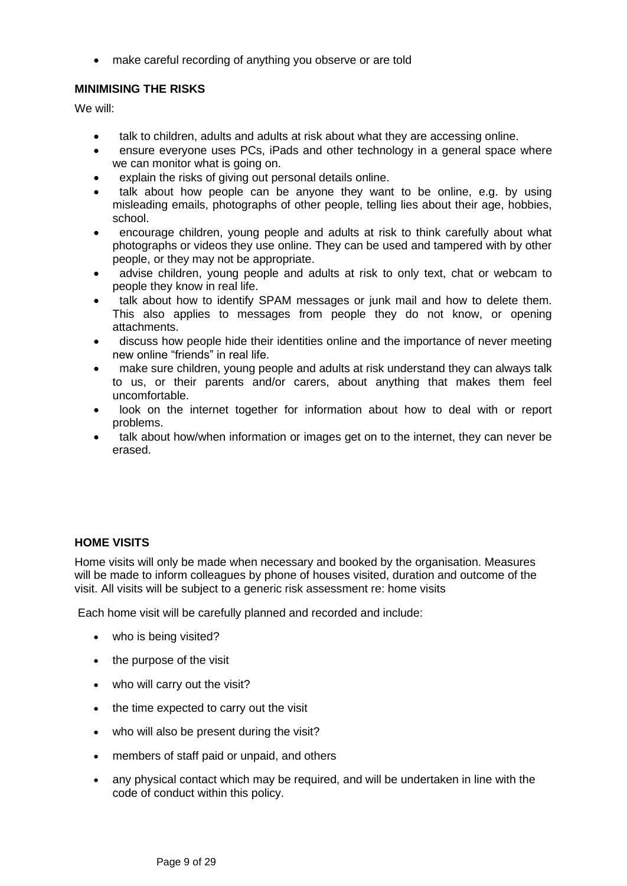• make careful recording of anything you observe or are told

## <span id="page-8-0"></span>**MINIMISING THE RISKS**

We will:

- talk to children, adults and adults at risk about what they are accessing online.
- ensure everyone uses PCs, iPads and other technology in a general space where we can monitor what is going on.
- explain the risks of giving out personal details online.
- talk about how people can be anyone they want to be online, e.g. by using misleading emails, photographs of other people, telling lies about their age, hobbies, school.
- encourage children, young people and adults at risk to think carefully about what photographs or videos they use online. They can be used and tampered with by other people, or they may not be appropriate.
- advise children, young people and adults at risk to only text, chat or webcam to people they know in real life.
- talk about how to identify SPAM messages or junk mail and how to delete them. This also applies to messages from people they do not know, or opening attachments.
- discuss how people hide their identities online and the importance of never meeting new online "friends" in real life.
- make sure children, young people and adults at risk understand they can always talk to us, or their parents and/or carers, about anything that makes them feel uncomfortable.
- look on the internet together for information about how to deal with or report problems.
- talk about how/when information or images get on to the internet, they can never be erased.

## <span id="page-8-1"></span>**HOME VISITS**

Home visits will only be made when necessary and booked by the organisation. Measures will be made to inform colleagues by phone of houses visited, duration and outcome of the visit. All visits will be subject to a generic risk assessment re: home visits

Each home visit will be carefully planned and recorded and include:

- who is being visited?
- the purpose of the visit
- who will carry out the visit?
- the time expected to carry out the visit
- who will also be present during the visit?
- members of staff paid or unpaid, and others
- any physical contact which may be required, and will be undertaken in line with the code of conduct within this policy.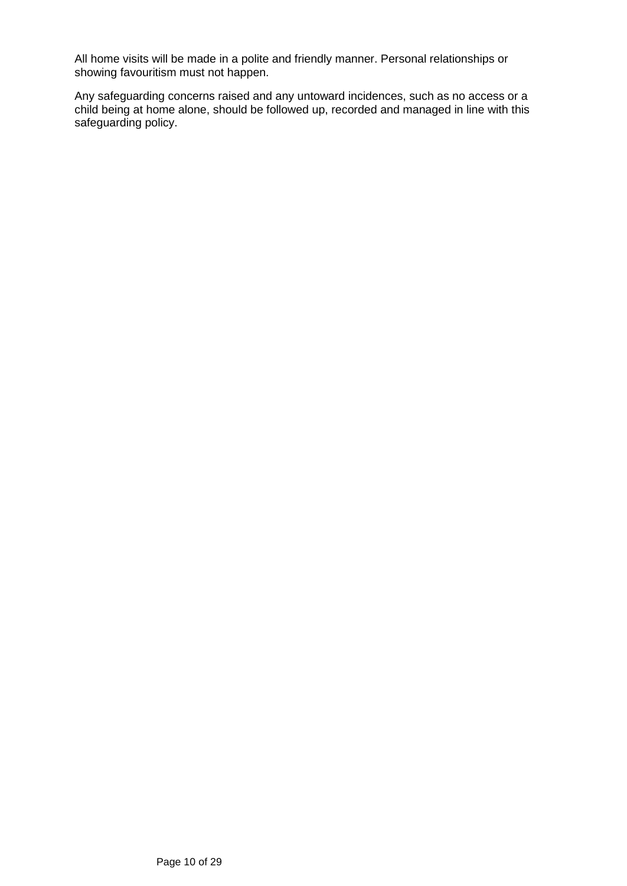All home visits will be made in a polite and friendly manner. Personal relationships or showing favouritism must not happen.

Any safeguarding concerns raised and any untoward incidences, such as no access or a child being at home alone, should be followed up, recorded and managed in line with this safeguarding policy.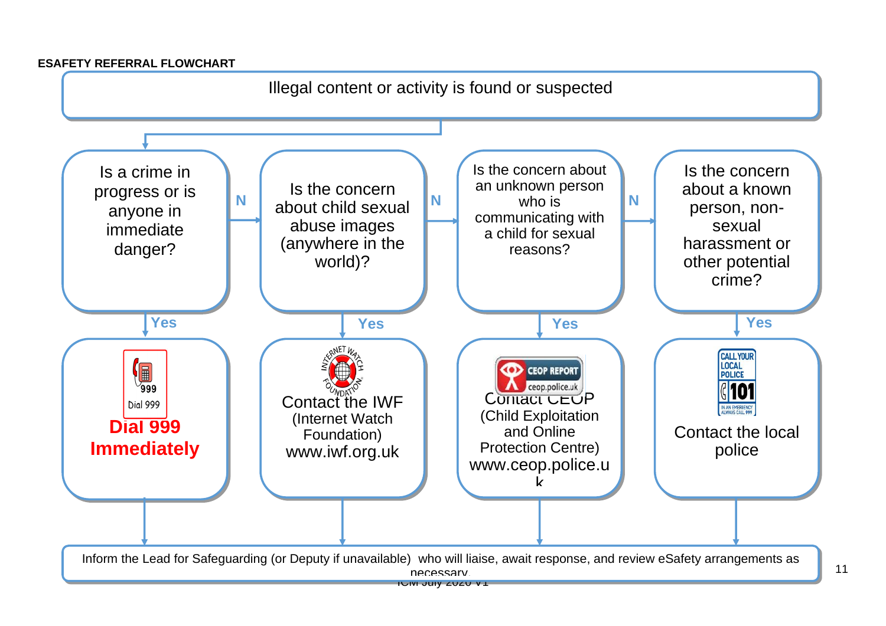## **ESAFETY REFERRAL FLOWCHART**

<span id="page-10-0"></span>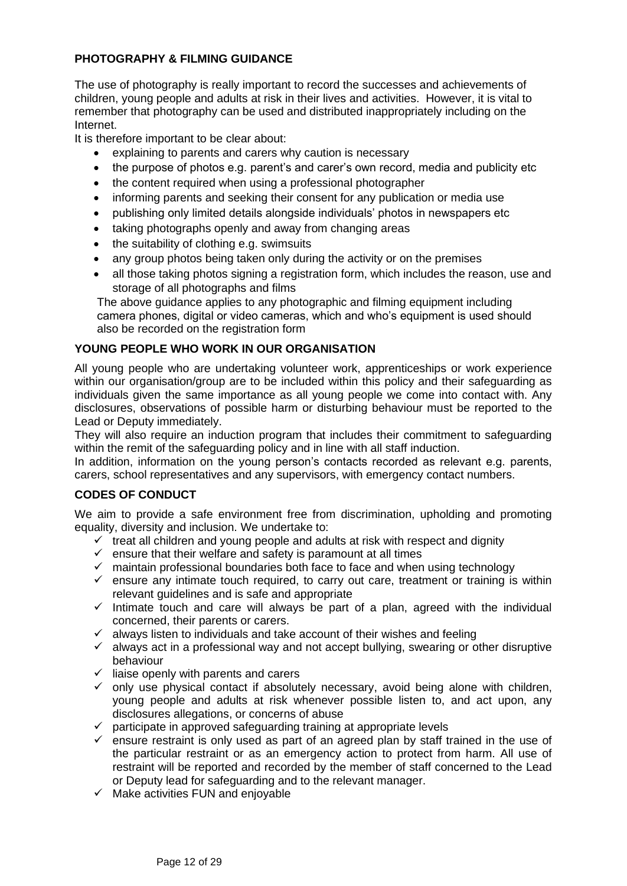# <span id="page-11-0"></span>**PHOTOGRAPHY & FILMING GUIDANCE**

The use of photography is really important to record the successes and achievements of children, young people and adults at risk in their lives and activities. However, it is vital to remember that photography can be used and distributed inappropriately including on the Internet.

It is therefore important to be clear about:

- explaining to parents and carers why caution is necessary
- the purpose of photos e.g. parent's and carer's own record, media and publicity etc
- the content required when using a professional photographer
- informing parents and seeking their consent for any publication or media use
- publishing only limited details alongside individuals' photos in newspapers etc
- taking photographs openly and away from changing areas
- the suitability of clothing e.g. swimsuits
- any group photos being taken only during the activity or on the premises
- all those taking photos signing a registration form, which includes the reason, use and storage of all photographs and films

The above guidance applies to any photographic and filming equipment including camera phones, digital or video cameras, which and who's equipment is used should also be recorded on the registration form

## <span id="page-11-1"></span>**YOUNG PEOPLE WHO WORK IN OUR ORGANISATION**

All young people who are undertaking volunteer work, apprenticeships or work experience within our organisation/group are to be included within this policy and their safeguarding as individuals given the same importance as all young people we come into contact with. Any disclosures, observations of possible harm or disturbing behaviour must be reported to the Lead or Deputy immediately.

They will also require an induction program that includes their commitment to safeguarding within the remit of the safeguarding policy and in line with all staff induction.

In addition, information on the young person's contacts recorded as relevant e.g. parents, carers, school representatives and any supervisors, with emergency contact numbers.

## <span id="page-11-2"></span>**CODES OF CONDUCT**

We aim to provide a safe environment free from discrimination, upholding and promoting equality, diversity and inclusion. We undertake to:

- $\checkmark$  treat all children and young people and adults at risk with respect and dignity
- $\checkmark$  ensure that their welfare and safety is paramount at all times
- ✓ maintain professional boundaries both face to face and when using technology
- $\checkmark$  ensure any intimate touch required, to carry out care, treatment or training is within relevant guidelines and is safe and appropriate
- $\checkmark$  Intimate touch and care will always be part of a plan, agreed with the individual concerned, their parents or carers.
- $\checkmark$  always listen to individuals and take account of their wishes and feeling
- $\checkmark$  always act in a professional way and not accept bullying, swearing or other disruptive behaviour
- $\checkmark$  liaise openly with parents and carers
- $\checkmark$  only use physical contact if absolutely necessary, avoid being alone with children, young people and adults at risk whenever possible listen to, and act upon, any disclosures allegations, or concerns of abuse
- $\checkmark$  participate in approved safeguarding training at appropriate levels
- $\checkmark$  ensure restraint is only used as part of an agreed plan by staff trained in the use of the particular restraint or as an emergency action to protect from harm. All use of restraint will be reported and recorded by the member of staff concerned to the Lead or Deputy lead for safeguarding and to the relevant manager.
- $\checkmark$  Make activities FUN and enjoyable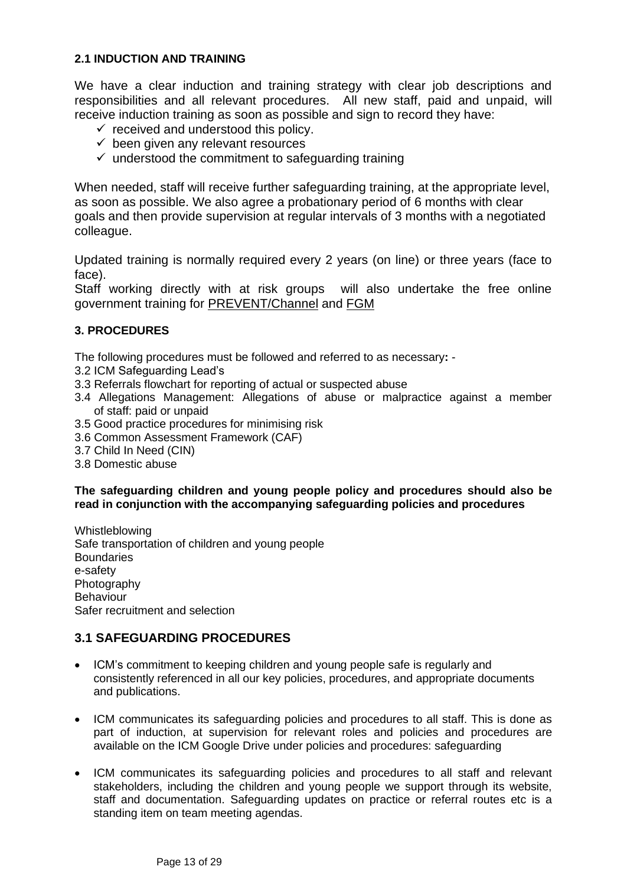## <span id="page-12-0"></span>**2.1 INDUCTION AND TRAINING**

We have a clear induction and training strategy with clear job descriptions and responsibilities and all relevant procedures. All new staff, paid and unpaid, will receive induction training as soon as possible and sign to record they have:

- $\checkmark$  received and understood this policy.
- $\checkmark$  been given any relevant resources
- $\checkmark$  understood the commitment to safeguarding training

When needed, staff will receive further safeguarding training, at the appropriate level, as soon as possible. We also agree a probationary period of 6 months with clear goals and then provide supervision at regular intervals of 3 months with a negotiated colleague.

Updated training is normally required every 2 years (on line) or three years (face to face).

Staff working directly with at risk groups will also undertake the free online government training for [PREVENT/Channel](http://course.ncalt.com/Channel_General_Awareness/01/index.html) and [FGM](https://fgmelearning.co.uk/)

## <span id="page-12-1"></span>**3. PROCEDURES**

The following procedures must be followed and referred to as necessary**:** -

- 3.2 ICM Safeguarding Lead's
- 3.3 Referrals flowchart for reporting of actual or suspected abuse
- 3.4 Allegations Management: Allegations of abuse or malpractice against a member of staff: paid or unpaid
- 3.5 Good practice procedures for minimising risk
- 3.6 Common Assessment Framework (CAF)
- 3.7 Child In Need (CIN)
- 3.8 Domestic abuse

## **The safeguarding children and young people policy and procedures should also be read in conjunction with the accompanying safeguarding policies and procedures**

Whistleblowing Safe transportation of children and young people **Boundaries** e-safety **Photography** Behaviour Safer recruitment and selection

## <span id="page-12-2"></span>**3.1 SAFEGUARDING PROCEDURES**

- ICM's commitment to keeping children and young people safe is regularly and consistently referenced in all our key policies, procedures, and appropriate documents and publications.
- ICM communicates its safeguarding policies and procedures to all staff. This is done as part of induction, at supervision for relevant roles and policies and procedures are available on the ICM Google Drive under policies and procedures: safeguarding
- ICM communicates its safeguarding policies and procedures to all staff and relevant stakeholders, including the children and young people we support through its website, staff and documentation. Safeguarding updates on practice or referral routes etc is a standing item on team meeting agendas.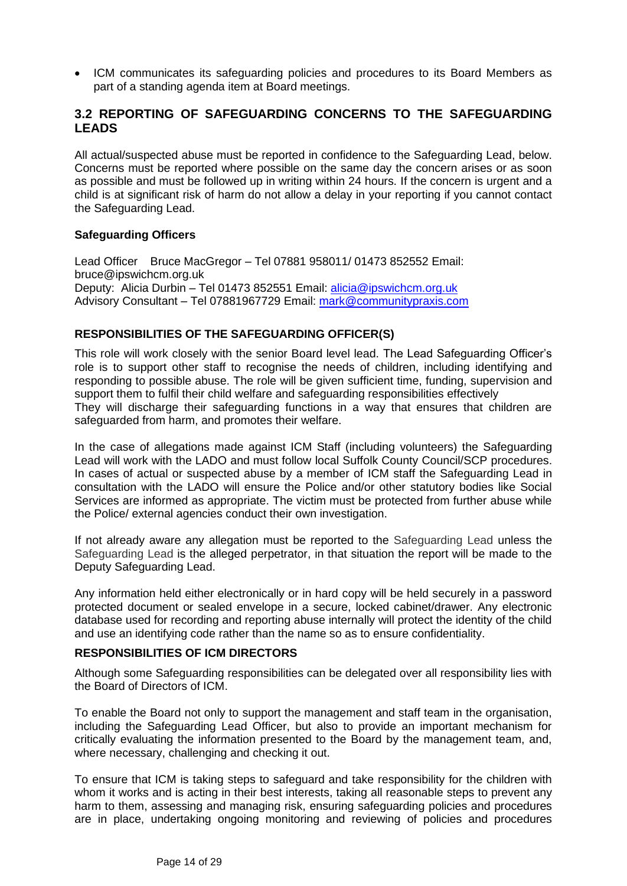• ICM communicates its safeguarding policies and procedures to its Board Members as part of a standing agenda item at Board meetings.

# <span id="page-13-0"></span>**3.2 REPORTING OF SAFEGUARDING CONCERNS TO THE SAFEGUARDING LEADS**

All actual/suspected abuse must be reported in confidence to the Safeguarding Lead, below. Concerns must be reported where possible on the same day the concern arises or as soon as possible and must be followed up in writing within 24 hours. If the concern is urgent and a child is at significant risk of harm do not allow a delay in your reporting if you cannot contact the Safeguarding Lead.

## **Safeguarding Officers**

Lead Officer Bruce MacGregor – Tel 07881 958011/ 01473 852552 Email: bruce@ipswichcm.org.uk Deputy: Alicia Durbin – Tel 01473 852551 Email: [alicia@ipswichcm.org.uk](mailto:alicia@ipswichcm.org.uk) Advisory Consultant – Tel 07881967729 Email: [mark@communitypraxis.com](mailto:mark@communitypraxis.com)

## <span id="page-13-1"></span>**RESPONSIBILITIES OF THE SAFEGUARDING OFFICER(S)**

This role will work closely with the senior Board level lead. The Lead Safeguarding Officer's role is to support other staff to recognise the needs of children, including identifying and responding to possible abuse. The role will be given sufficient time, funding, supervision and support them to fulfil their child welfare and safeguarding responsibilities effectively They will discharge their safeguarding functions in a way that ensures that children are safeguarded from harm, and promotes their welfare.

In the case of allegations made against ICM Staff (including volunteers) the Safeguarding Lead will work with the LADO and must follow local Suffolk County Council/SCP procedures. In cases of actual or suspected abuse by a member of ICM staff the Safeguarding Lead in consultation with the LADO will ensure the Police and/or other statutory bodies like Social Services are informed as appropriate. The victim must be protected from further abuse while the Police/ external agencies conduct their own investigation.

If not already aware any allegation must be reported to the Safeguarding Lead unless the Safeguarding Lead is the alleged perpetrator, in that situation the report will be made to the Deputy Safeguarding Lead.

Any information held either electronically or in hard copy will be held securely in a password protected document or sealed envelope in a secure, locked cabinet/drawer. Any electronic database used for recording and reporting abuse internally will protect the identity of the child and use an identifying code rather than the name so as to ensure confidentiality.

## <span id="page-13-2"></span>**RESPONSIBILITIES OF ICM DIRECTORS**

Although some Safeguarding responsibilities can be delegated over all responsibility lies with the Board of Directors of ICM.

To enable the Board not only to support the management and staff team in the organisation, including the Safeguarding Lead Officer, but also to provide an important mechanism for critically evaluating the information presented to the Board by the management team, and, where necessary, challenging and checking it out.

To ensure that ICM is taking steps to safeguard and take responsibility for the children with whom it works and is acting in their best interests, taking all reasonable steps to prevent any harm to them, assessing and managing risk, ensuring safeguarding policies and procedures are in place, undertaking ongoing monitoring and reviewing of policies and procedures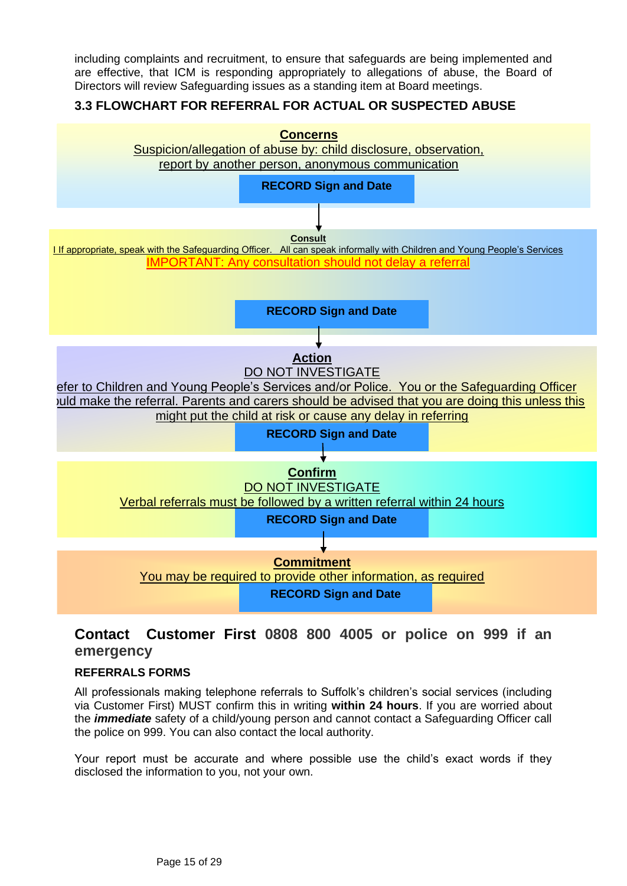including complaints and recruitment, to ensure that safeguards are being implemented and are effective, that ICM is responding appropriately to allegations of abuse, the Board of Directors will review Safeguarding issues as a standing item at Board meetings.

# <span id="page-14-0"></span>**3.3 FLOWCHART FOR REFERRAL FOR ACTUAL OR SUSPECTED ABUSE**



# **Contact Customer First 0808 800 4005 or police on 999 if an emergency**

## <span id="page-14-1"></span>**REFERRALS FORMS**

All professionals making telephone referrals to Suffolk's children's social services (including via Customer First) MUST confirm this in writing **within 24 hours**. If you are worried about the *immediate* safety of a child/young person and cannot contact a Safeguarding Officer call the police on 999. You can also contact the local authority.

Your report must be accurate and where possible use the child's exact words if they disclosed the information to you, not your own.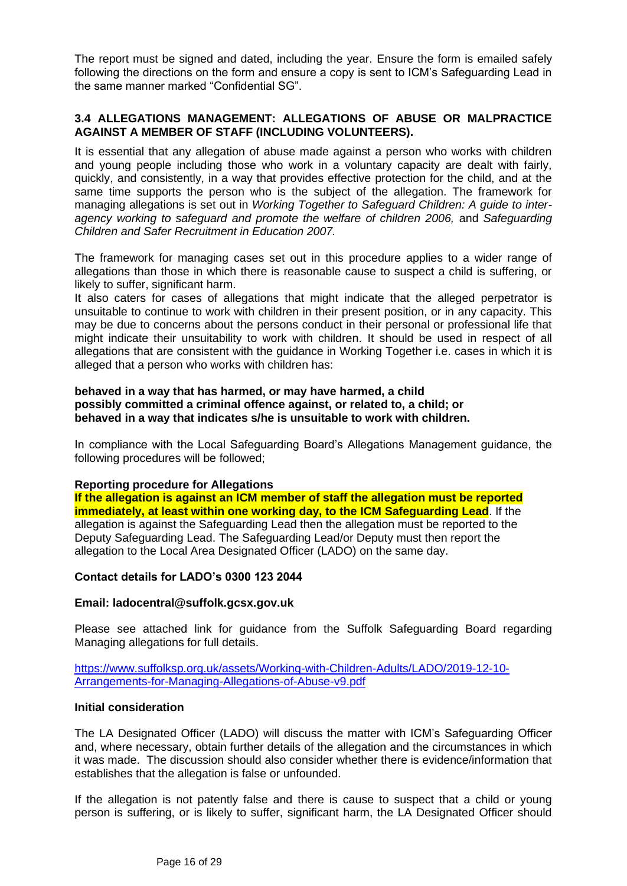The report must be signed and dated, including the year. Ensure the form is emailed safely following the directions on the form and ensure a copy is sent to ICM's Safeguarding Lead in the same manner marked "Confidential SG".

## <span id="page-15-0"></span>**3.4 ALLEGATIONS MANAGEMENT: ALLEGATIONS OF ABUSE OR MALPRACTICE AGAINST A MEMBER OF STAFF (INCLUDING VOLUNTEERS).**

It is essential that any allegation of abuse made against a person who works with children and young people including those who work in a voluntary capacity are dealt with fairly, quickly, and consistently, in a way that provides effective protection for the child, and at the same time supports the person who is the subject of the allegation. The framework for managing allegations is set out in *Working Together to Safeguard Children: A guide to interagency working to safeguard and promote the welfare of children 2006,* and *Safeguarding Children and Safer Recruitment in Education 2007.* 

The framework for managing cases set out in this procedure applies to a wider range of allegations than those in which there is reasonable cause to suspect a child is suffering, or likely to suffer, significant harm.

It also caters for cases of allegations that might indicate that the alleged perpetrator is unsuitable to continue to work with children in their present position, or in any capacity. This may be due to concerns about the persons conduct in their personal or professional life that might indicate their unsuitability to work with children. It should be used in respect of all allegations that are consistent with the guidance in Working Together i.e. cases in which it is alleged that a person who works with children has:

#### **behaved in a way that has harmed, or may have harmed, a child possibly committed a criminal offence against, or related to, a child; or behaved in a way that indicates s/he is unsuitable to work with children.**

In compliance with the Local Safeguarding Board's Allegations Management guidance, the following procedures will be followed;

## **Reporting procedure for Allegations**

**If the allegation is against an ICM member of staff the allegation must be reported**  *immediately, at least within one working day, to the ICM Safeguarding Lead.* **If the** allegation is against the Safeguarding Lead then the allegation must be reported to the Deputy Safeguarding Lead. The Safeguarding Lead/or Deputy must then report the allegation to the Local Area Designated Officer (LADO) on the same day.

#### **Contact details for LADO's 0300 123 2044**

#### **Email: ladocentral@suffolk.gcsx.gov.uk**

Please see attached link for guidance from the Suffolk Safeguarding Board regarding Managing allegations for full details.

[https://www.suffolksp.org.uk/assets/Working-with-Children-Adults/LADO/2019-12-10-](https://www.suffolksp.org.uk/assets/Working-with-Children-Adults/LADO/2019-12-10-Arrangements-for-Managing-Allegations-of-Abuse-v9.pdf) [Arrangements-for-Managing-Allegations-of-Abuse-v9.pdf](https://www.suffolksp.org.uk/assets/Working-with-Children-Adults/LADO/2019-12-10-Arrangements-for-Managing-Allegations-of-Abuse-v9.pdf)

#### **Initial consideration**

The LA Designated Officer (LADO) will discuss the matter with ICM's Safeguarding Officer and, where necessary, obtain further details of the allegation and the circumstances in which it was made. The discussion should also consider whether there is evidence/information that establishes that the allegation is false or unfounded.

If the allegation is not patently false and there is cause to suspect that a child or young person is suffering, or is likely to suffer, significant harm, the LA Designated Officer should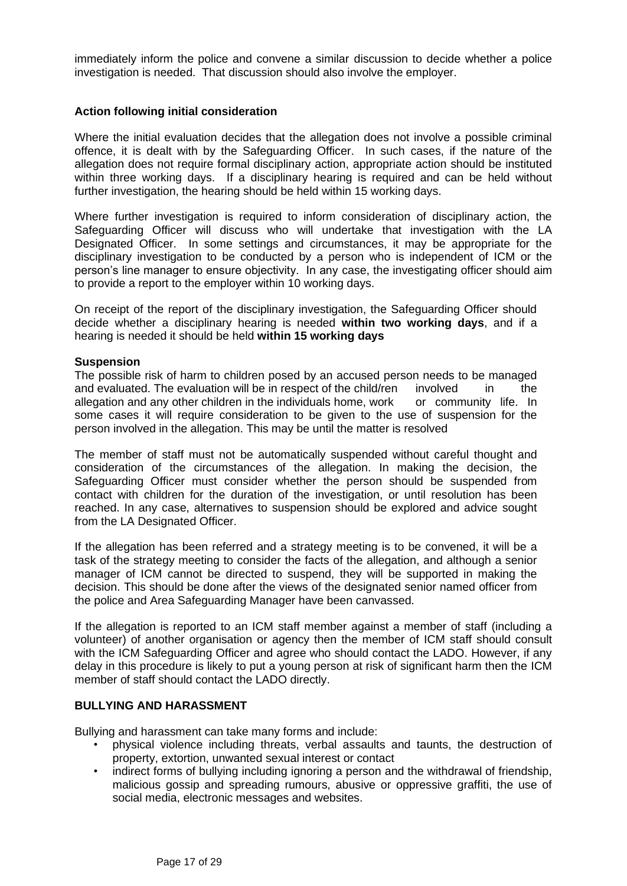immediately inform the police and convene a similar discussion to decide whether a police investigation is needed. That discussion should also involve the employer.

#### **Action following initial consideration**

Where the initial evaluation decides that the allegation does not involve a possible criminal offence, it is dealt with by the Safeguarding Officer. In such cases, if the nature of the allegation does not require formal disciplinary action, appropriate action should be instituted within three working days. If a disciplinary hearing is required and can be held without further investigation, the hearing should be held within 15 working days.

Where further investigation is required to inform consideration of disciplinary action, the Safeguarding Officer will discuss who will undertake that investigation with the LA Designated Officer. In some settings and circumstances, it may be appropriate for the disciplinary investigation to be conducted by a person who is independent of ICM or the person's line manager to ensure objectivity. In any case, the investigating officer should aim to provide a report to the employer within 10 working days.

On receipt of the report of the disciplinary investigation, the Safeguarding Officer should decide whether a disciplinary hearing is needed **within two working days**, and if a hearing is needed it should be held **within 15 working days**

#### **Suspension**

The possible risk of harm to children posed by an accused person needs to be managed and evaluated. The evaluation will be in respect of the child/ren involved in the allegation and any other children in the individuals home, work or community life. In some cases it will require consideration to be given to the use of suspension for the person involved in the allegation. This may be until the matter is resolved

The member of staff must not be automatically suspended without careful thought and consideration of the circumstances of the allegation. In making the decision, the Safeguarding Officer must consider whether the person should be suspended from contact with children for the duration of the investigation, or until resolution has been reached. In any case, alternatives to suspension should be explored and advice sought from the LA Designated Officer.

If the allegation has been referred and a strategy meeting is to be convened, it will be a task of the strategy meeting to consider the facts of the allegation, and although a senior manager of ICM cannot be directed to suspend, they will be supported in making the decision. This should be done after the views of the designated senior named officer from the police and Area Safeguarding Manager have been canvassed.

If the allegation is reported to an ICM staff member against a member of staff (including a volunteer) of another organisation or agency then the member of ICM staff should consult with the ICM Safeguarding Officer and agree who should contact the LADO. However, if any delay in this procedure is likely to put a young person at risk of significant harm then the ICM member of staff should contact the LADO directly.

#### <span id="page-16-0"></span>**BULLYING AND HARASSMENT**

Bullying and harassment can take many forms and include:

- physical violence including threats, verbal assaults and taunts, the destruction of property, extortion, unwanted sexual interest or contact
- indirect forms of bullying including ignoring a person and the withdrawal of friendship, malicious gossip and spreading rumours, abusive or oppressive graffiti, the use of social media, electronic messages and websites.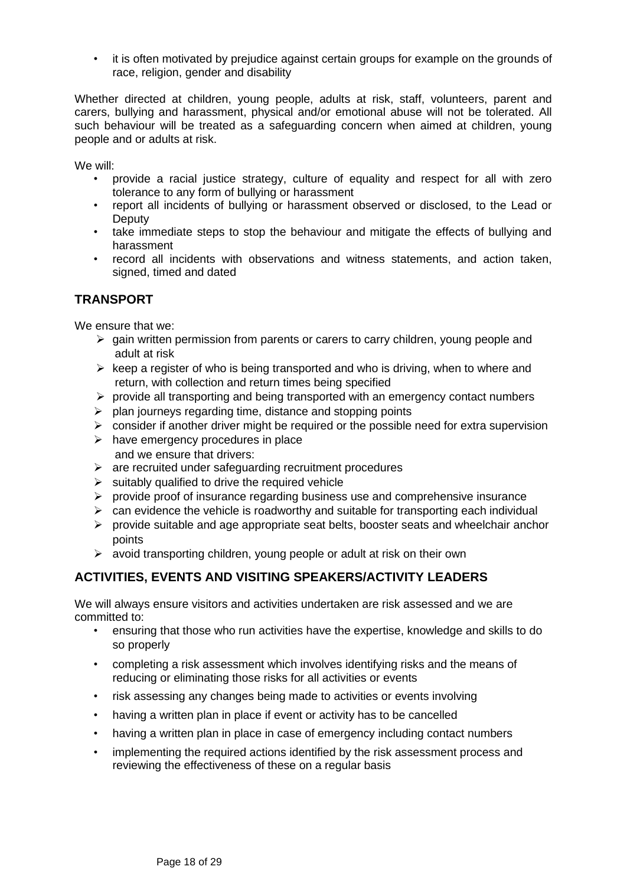• it is often motivated by prejudice against certain groups for example on the grounds of race, religion, gender and disability

Whether directed at children, young people, adults at risk, staff, volunteers, parent and carers, bullying and harassment, physical and/or emotional abuse will not be tolerated. All such behaviour will be treated as a safeguarding concern when aimed at children, young people and or adults at risk.

We will:

- provide a racial justice strategy, culture of equality and respect for all with zero tolerance to any form of bullying or harassment
- report all incidents of bullying or harassment observed or disclosed, to the Lead or **Deputy**
- take immediate steps to stop the behaviour and mitigate the effects of bullying and harassment
- record all incidents with observations and witness statements, and action taken, signed, timed and dated

# <span id="page-17-0"></span>**TRANSPORT**

We ensure that we:

- ➢ gain written permission from parents or carers to carry children, young people and adult at risk
- $\triangleright$  keep a register of who is being transported and who is driving, when to where and return, with collection and return times being specified
- ➢ provide all transporting and being transported with an emergency contact numbers
- $\triangleright$  plan journeys regarding time, distance and stopping points
- $\triangleright$  consider if another driver might be required or the possible need for extra supervision
- $\triangleright$  have emergency procedures in place and we ensure that drivers:
- $\triangleright$  are recruited under safeguarding recruitment procedures
- $\triangleright$  suitably qualified to drive the required vehicle
- ➢ provide proof of insurance regarding business use and comprehensive insurance
- $\triangleright$  can evidence the vehicle is roadworthy and suitable for transporting each individual
- ➢ provide suitable and age appropriate seat belts, booster seats and wheelchair anchor points
- ➢ avoid transporting children, young people or adult at risk on their own

## <span id="page-17-1"></span>**ACTIVITIES, EVENTS AND VISITING SPEAKERS/ACTIVITY LEADERS**

We will always ensure visitors and activities undertaken are risk assessed and we are committed to:

- ensuring that those who run activities have the expertise, knowledge and skills to do so properly
- completing a risk assessment which involves identifying risks and the means of reducing or eliminating those risks for all activities or events
- risk assessing any changes being made to activities or events involving
- having a written plan in place if event or activity has to be cancelled
- having a written plan in place in case of emergency including contact numbers
- implementing the required actions identified by the risk assessment process and reviewing the effectiveness of these on a regular basis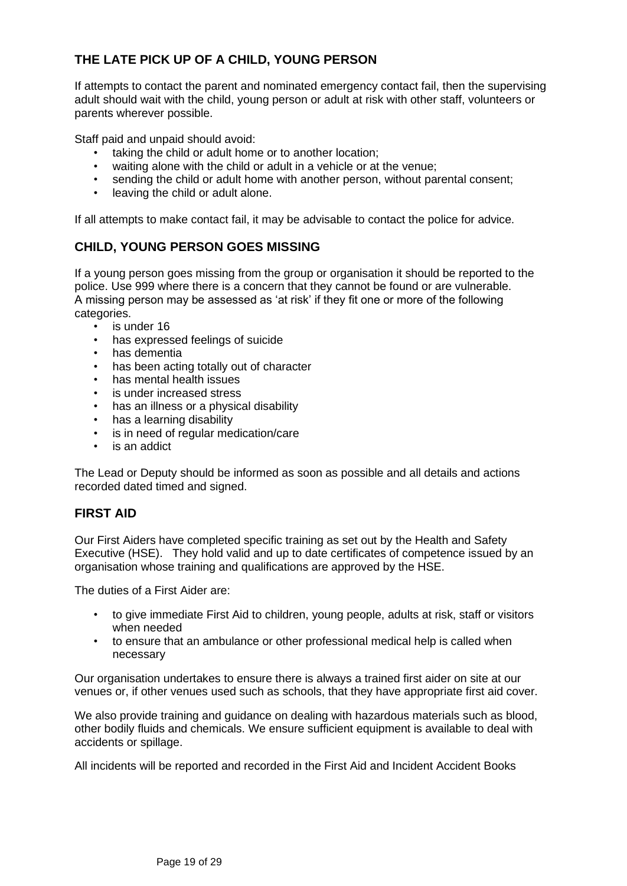# <span id="page-18-0"></span>**THE LATE PICK UP OF A CHILD, YOUNG PERSON**

If attempts to contact the parent and nominated emergency contact fail, then the supervising adult should wait with the child, young person or adult at risk with other staff, volunteers or parents wherever possible.

Staff paid and unpaid should avoid:

- taking the child or adult home or to another location;
- waiting alone with the child or adult in a vehicle or at the venue;
- sending the child or adult home with another person, without parental consent:
- leaving the child or adult alone.

If all attempts to make contact fail, it may be advisable to contact the police for advice.

# <span id="page-18-1"></span>**CHILD, YOUNG PERSON GOES MISSING**

If a young person goes missing from the group or organisation it should be reported to the police. Use 999 where there is a concern that they cannot be found or are vulnerable. A missing person may be assessed as 'at risk' if they fit one or more of the following categories.

- is under 16
- has expressed feelings of suicide
- has dementia
- has been acting totally out of character
- has mental health issues
- is under increased stress
- has an illness or a physical disability
- has a learning disability
- is in need of regular medication/care
- is an addict

The Lead or Deputy should be informed as soon as possible and all details and actions recorded dated timed and signed.

## <span id="page-18-2"></span>**FIRST AID**

Our First Aiders have completed specific training as set out by the Health and Safety Executive (HSE). They hold valid and up to date certificates of competence issued by an organisation whose training and qualifications are approved by the HSE.

The duties of a First Aider are:

- to give immediate First Aid to children, young people, adults at risk, staff or visitors when needed
- to ensure that an ambulance or other professional medical help is called when necessary

Our organisation undertakes to ensure there is always a trained first aider on site at our venues or, if other venues used such as schools, that they have appropriate first aid cover.

We also provide training and guidance on dealing with hazardous materials such as blood, other bodily fluids and chemicals. We ensure sufficient equipment is available to deal with accidents or spillage.

All incidents will be reported and recorded in the First Aid and Incident Accident Books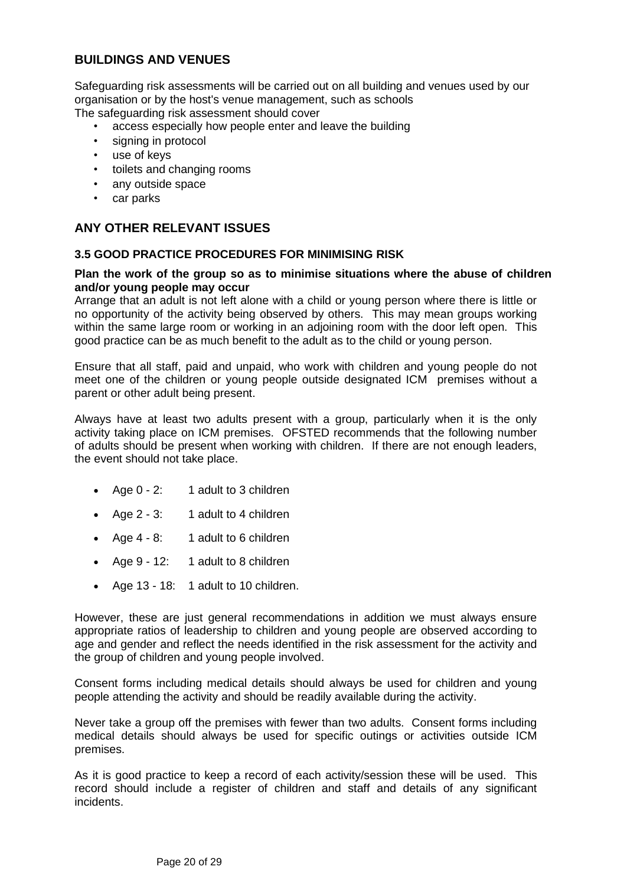# <span id="page-19-0"></span>**BUILDINGS AND VENUES**

Safeguarding risk assessments will be carried out on all building and venues used by our organisation or by the host's venue management, such as schools The safeguarding risk assessment should cover

- access especially how people enter and leave the building
- signing in protocol
- use of keys
- toilets and changing rooms
- any outside space
- car parks

## <span id="page-19-1"></span>**ANY OTHER RELEVANT ISSUES**

#### <span id="page-19-2"></span>**3.5 GOOD PRACTICE PROCEDURES FOR MINIMISING RISK**

#### **Plan the work of the group so as to minimise situations where the abuse of children and/or young people may occur**

Arrange that an adult is not left alone with a child or young person where there is little or no opportunity of the activity being observed by others. This may mean groups working within the same large room or working in an adjoining room with the door left open. This good practice can be as much benefit to the adult as to the child or young person.

Ensure that all staff, paid and unpaid, who work with children and young people do not meet one of the children or young people outside designated ICM premises without a parent or other adult being present.

Always have at least two adults present with a group, particularly when it is the only activity taking place on ICM premises. OFSTED recommends that the following number of adults should be present when working with children. If there are not enough leaders, the event should not take place.

- Age 0 2: 1 adult to 3 children
- Age 2 3: 1 adult to 4 children
- Age 4 8: 1 adult to 6 children
- Age 9 12: 1 adult to 8 children
- Age 13 18: 1 adult to 10 children.

However, these are just general recommendations in addition we must always ensure appropriate ratios of leadership to children and young people are observed according to age and gender and reflect the needs identified in the risk assessment for the activity and the group of children and young people involved.

Consent forms including medical details should always be used for children and young people attending the activity and should be readily available during the activity.

Never take a group off the premises with fewer than two adults. Consent forms including medical details should always be used for specific outings or activities outside ICM premises.

As it is good practice to keep a record of each activity/session these will be used. This record should include a register of children and staff and details of any significant incidents.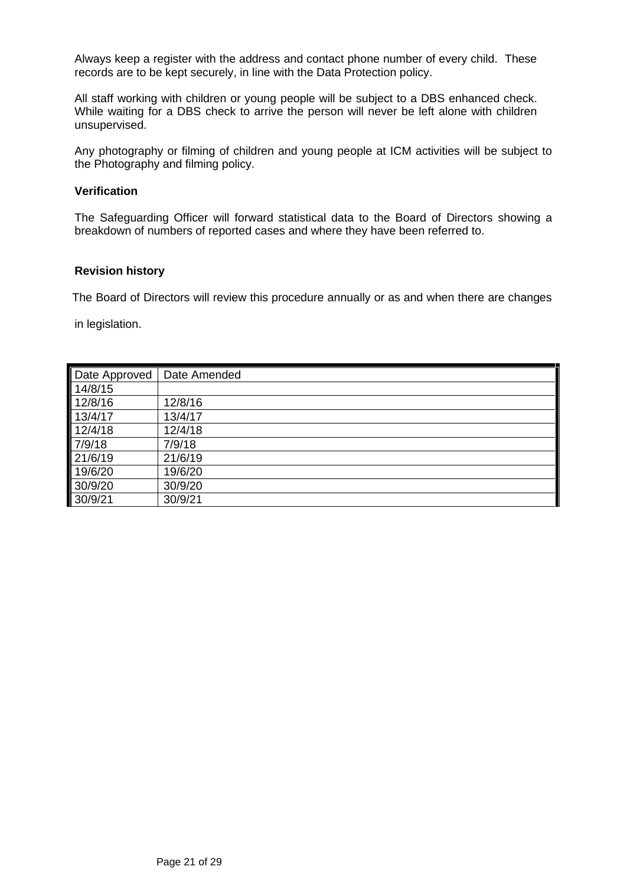Always keep a register with the address and contact phone number of every child. These records are to be kept securely, in line with the Data Protection policy.

All staff working with children or young people will be subject to a DBS enhanced check. While waiting for a DBS check to arrive the person will never be left alone with children unsupervised.

Any photography or filming of children and young people at ICM activities will be subject to the Photography and filming policy.

#### **Verification**

The Safeguarding Officer will forward statistical data to the Board of Directors showing a breakdown of numbers of reported cases and where they have been referred to.

#### **Revision history**

The Board of Directors will review this procedure annually or as and when there are changes

in legislation.

| Date Approved | Date Amended |
|---------------|--------------|
| 14/8/15       |              |
| 12/8/16       | 12/8/16      |
| 13/4/17       | 13/4/17      |
| 12/4/18       | 12/4/18      |
| 7/9/18        | 7/9/18       |
| 21/6/19       | 21/6/19      |
| 19/6/20       | 19/6/20      |
| 30/9/20       | 30/9/20      |
| 30/9/21       | 30/9/21      |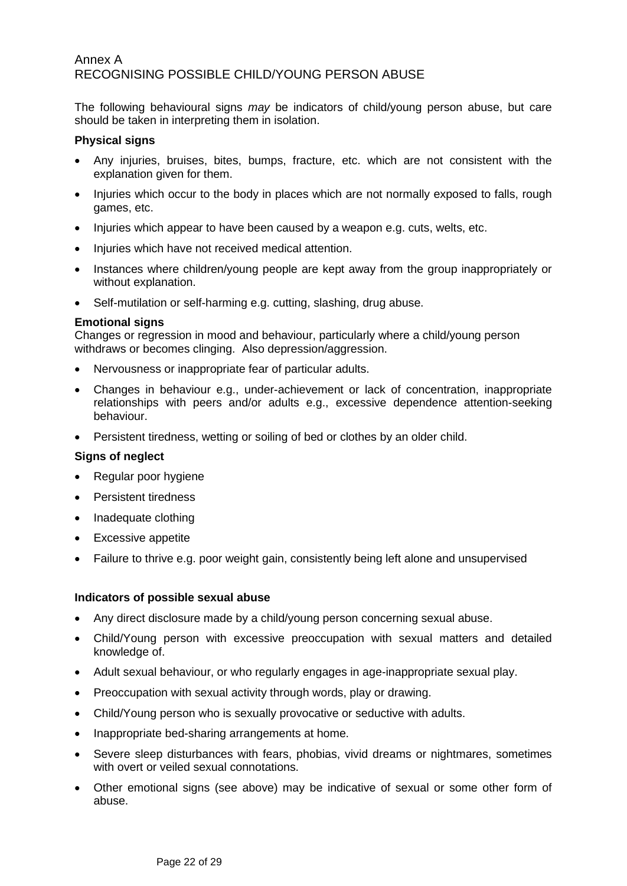# <span id="page-21-0"></span>Annex A RECOGNISING POSSIBLE CHILD/YOUNG PERSON ABUSE

The following behavioural signs *may* be indicators of child/young person abuse, but care should be taken in interpreting them in isolation.

#### **Physical signs**

- Any injuries, bruises, bites, bumps, fracture, etc. which are not consistent with the explanation given for them.
- Injuries which occur to the body in places which are not normally exposed to falls, rough games, etc.
- Injuries which appear to have been caused by a weapon e.g. cuts, welts, etc.
- Injuries which have not received medical attention.
- Instances where children/young people are kept away from the group inappropriately or without explanation.
- Self-mutilation or self-harming e.g. cutting, slashing, drug abuse.

#### **Emotional signs**

Changes or regression in mood and behaviour, particularly where a child/young person withdraws or becomes clinging. Also depression/aggression.

- Nervousness or inappropriate fear of particular adults.
- Changes in behaviour e.g., under-achievement or lack of concentration, inappropriate relationships with peers and/or adults e.g., excessive dependence attention-seeking behaviour.
- Persistent tiredness, wetting or soiling of bed or clothes by an older child.

## **Signs of neglect**

- Regular poor hygiene
- Persistent tiredness
- Inadequate clothing
- Excessive appetite
- Failure to thrive e.g. poor weight gain, consistently being left alone and unsupervised

#### **Indicators of possible sexual abuse**

- Any direct disclosure made by a child/young person concerning sexual abuse.
- Child/Young person with excessive preoccupation with sexual matters and detailed knowledge of.
- Adult sexual behaviour, or who regularly engages in age-inappropriate sexual play.
- Preoccupation with sexual activity through words, play or drawing.
- Child/Young person who is sexually provocative or seductive with adults.
- Inappropriate bed-sharing arrangements at home.
- Severe sleep disturbances with fears, phobias, vivid dreams or nightmares, sometimes with overt or veiled sexual connotations.
- Other emotional signs (see above) may be indicative of sexual or some other form of abuse.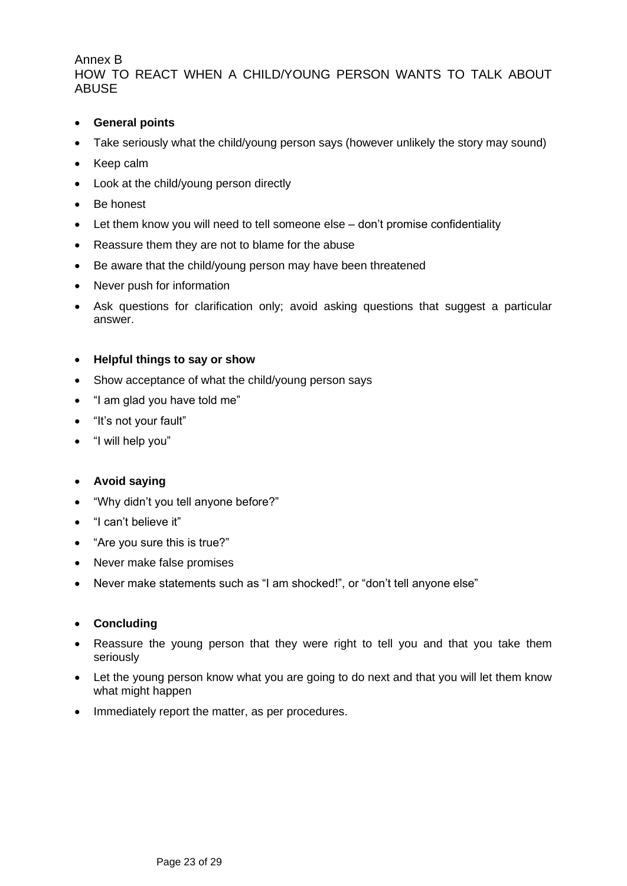## <span id="page-22-0"></span>Annex B HOW TO REACT WHEN A CHILD/YOUNG PERSON WANTS TO TALK ABOUT **ABUSE**

- **General points**
- Take seriously what the child/young person says (however unlikely the story may sound)
- Keep calm
- Look at the child/young person directly
- Be honest
- Let them know you will need to tell someone else don't promise confidentiality
- Reassure them they are not to blame for the abuse
- Be aware that the child/young person may have been threatened
- Never push for information
- Ask questions for clarification only; avoid asking questions that suggest a particular answer.

#### • **Helpful things to say or show**

- Show acceptance of what the child/young person says
- "I am glad you have told me"
- "It's not your fault"
- "I will help you"

## • **Avoid saying**

- "Why didn't you tell anyone before?"
- "I can't believe it"
- "Are you sure this is true?"
- Never make false promises
- Never make statements such as "I am shocked!", or "don't tell anyone else"

## • **Concluding**

- Reassure the young person that they were right to tell you and that you take them seriously
- Let the young person know what you are going to do next and that you will let them know what might happen
- Immediately report the matter, as per procedures.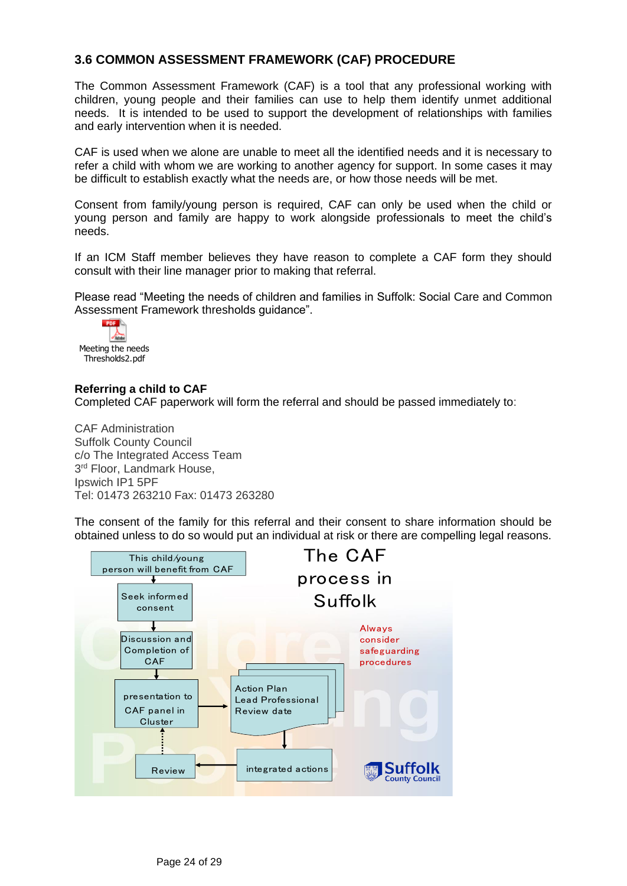# <span id="page-23-0"></span>**3.6 COMMON ASSESSMENT FRAMEWORK (CAF) PROCEDURE**

The Common Assessment Framework (CAF) is a tool that any professional working with children, young people and their families can use to help them identify unmet additional needs. It is intended to be used to support the development of relationships with families and early intervention when it is needed.

CAF is used when we alone are unable to meet all the identified needs and it is necessary to refer a child with whom we are working to another agency for support. In some cases it may be difficult to establish exactly what the needs are, or how those needs will be met.

Consent from family/young person is required, CAF can only be used when the child or young person and family are happy to work alongside professionals to meet the child's needs.

If an ICM Staff member believes they have reason to complete a CAF form they should consult with their line manager prior to making that referral.

Please read "Meeting the needs of children and families in Suffolk: Social Care and Common Assessment Framework thresholds guidance".



## **Referring a child to CAF**

Completed CAF paperwork will form the referral and should be passed immediately to:

CAF Administration Suffolk County Council c/o The Integrated Access Team 3<sup>rd</sup> Floor, Landmark House, Ipswich IP1 5PF Tel: 01473 263210 Fax: 01473 263280

The consent of the family for this referral and their consent to share information should be obtained unless to do so would put an individual at risk or there are compelling legal reasons.

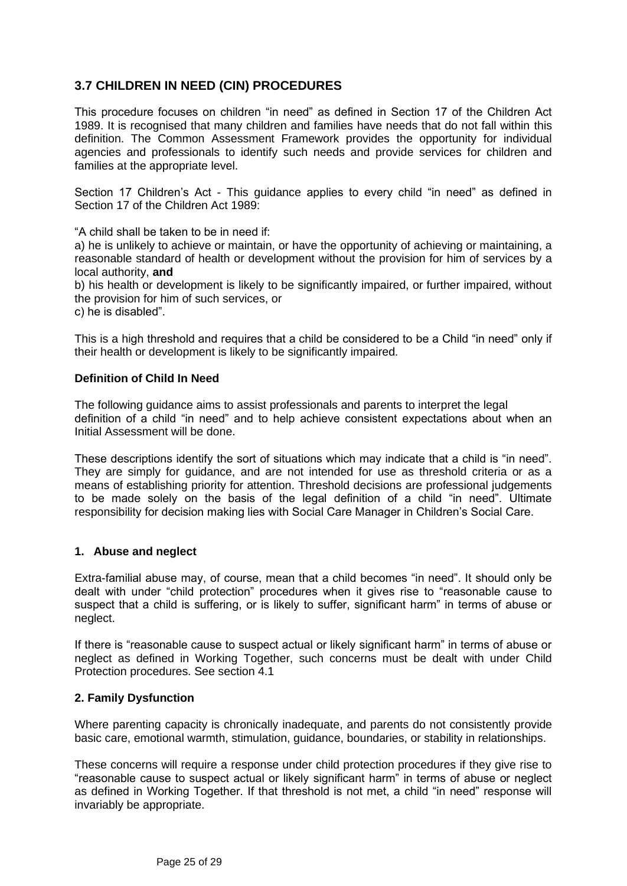# <span id="page-24-0"></span>**3.7 CHILDREN IN NEED (CIN) PROCEDURES**

This procedure focuses on children "in need" as defined in Section 17 of the Children Act 1989. It is recognised that many children and families have needs that do not fall within this definition. The Common Assessment Framework provides the opportunity for individual agencies and professionals to identify such needs and provide services for children and families at the appropriate level.

Section 17 Children's Act - This guidance applies to every child "in need" as defined in Section 17 of the Children Act 1989.

"A child shall be taken to be in need if:

a) he is unlikely to achieve or maintain, or have the opportunity of achieving or maintaining, a reasonable standard of health or development without the provision for him of services by a local authority, **and**

b) his health or development is likely to be significantly impaired, or further impaired, without the provision for him of such services, or

c) he is disabled".

This is a high threshold and requires that a child be considered to be a Child "in need" only if their health or development is likely to be significantly impaired.

#### **Definition of Child In Need**

The following guidance aims to assist professionals and parents to interpret the legal definition of a child "in need" and to help achieve consistent expectations about when an Initial Assessment will be done.

These descriptions identify the sort of situations which may indicate that a child is "in need". They are simply for guidance, and are not intended for use as threshold criteria or as a means of establishing priority for attention. Threshold decisions are professional judgements to be made solely on the basis of the legal definition of a child "in need". Ultimate responsibility for decision making lies with Social Care Manager in Children's Social Care.

## **1. Abuse and neglect**

Extra-familial abuse may, of course, mean that a child becomes "in need". It should only be dealt with under "child protection" procedures when it gives rise to "reasonable cause to suspect that a child is suffering, or is likely to suffer, significant harm" in terms of abuse or neglect.

If there is "reasonable cause to suspect actual or likely significant harm" in terms of abuse or neglect as defined in Working Together, such concerns must be dealt with under Child Protection procedures. See section 4.1

#### **2. Family Dysfunction**

Where parenting capacity is chronically inadequate, and parents do not consistently provide basic care, emotional warmth, stimulation, guidance, boundaries, or stability in relationships.

These concerns will require a response under child protection procedures if they give rise to "reasonable cause to suspect actual or likely significant harm" in terms of abuse or neglect as defined in Working Together. If that threshold is not met, a child "in need" response will invariably be appropriate.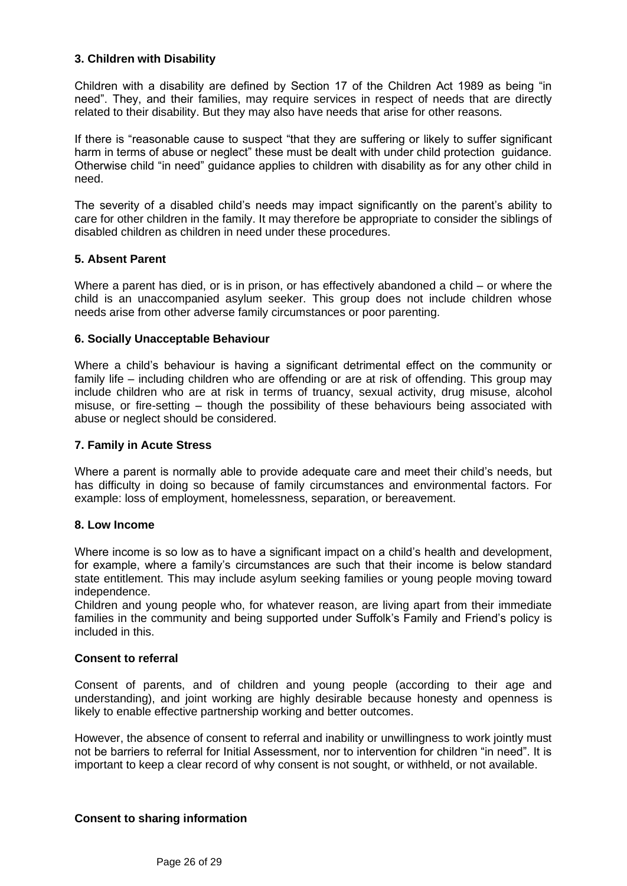## **3. Children with Disability**

Children with a disability are defined by Section 17 of the Children Act 1989 as being "in need". They, and their families, may require services in respect of needs that are directly related to their disability. But they may also have needs that arise for other reasons.

If there is "reasonable cause to suspect "that they are suffering or likely to suffer significant harm in terms of abuse or neglect" these must be dealt with under child protection guidance. Otherwise child "in need" guidance applies to children with disability as for any other child in need.

The severity of a disabled child's needs may impact significantly on the parent's ability to care for other children in the family. It may therefore be appropriate to consider the siblings of disabled children as children in need under these procedures.

## **5. Absent Parent**

Where a parent has died, or is in prison, or has effectively abandoned a child – or where the child is an unaccompanied asylum seeker. This group does not include children whose needs arise from other adverse family circumstances or poor parenting.

## **6. Socially Unacceptable Behaviour**

Where a child's behaviour is having a significant detrimental effect on the community or family life – including children who are offending or are at risk of offending. This group may include children who are at risk in terms of truancy, sexual activity, drug misuse, alcohol misuse, or fire-setting – though the possibility of these behaviours being associated with abuse or neglect should be considered.

#### **7. Family in Acute Stress**

Where a parent is normally able to provide adequate care and meet their child's needs, but has difficulty in doing so because of family circumstances and environmental factors. For example: loss of employment, homelessness, separation, or bereavement.

## **8. Low Income**

Where income is so low as to have a significant impact on a child's health and development, for example, where a family's circumstances are such that their income is below standard state entitlement. This may include asylum seeking families or young people moving toward independence.

Children and young people who, for whatever reason, are living apart from their immediate families in the community and being supported under Suffolk's Family and Friend's policy is included in this.

## **Consent to referral**

Consent of parents, and of children and young people (according to their age and understanding), and joint working are highly desirable because honesty and openness is likely to enable effective partnership working and better outcomes.

However, the absence of consent to referral and inability or unwillingness to work jointly must not be barriers to referral for Initial Assessment, nor to intervention for children "in need". It is important to keep a clear record of why consent is not sought, or withheld, or not available.

## **Consent to sharing information**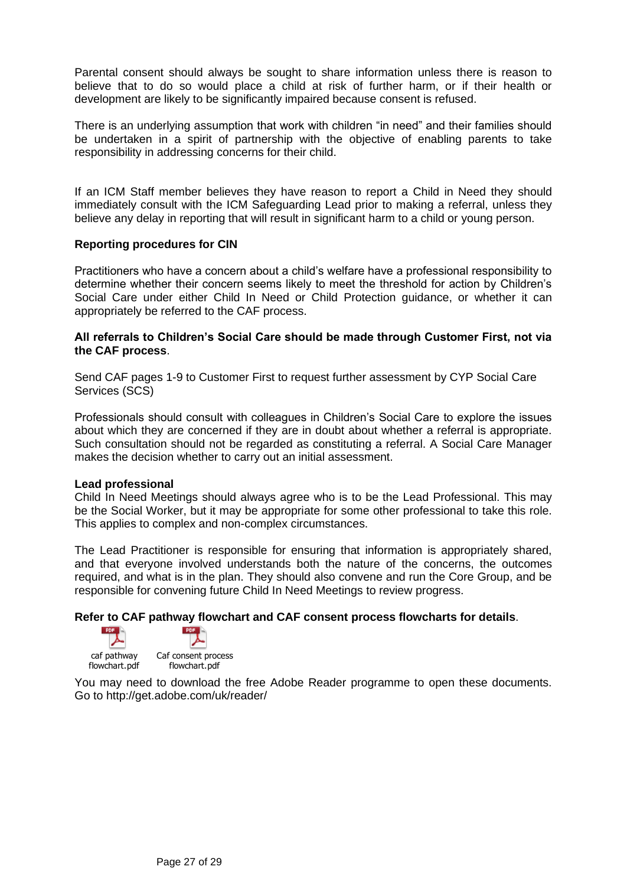Parental consent should always be sought to share information unless there is reason to believe that to do so would place a child at risk of further harm, or if their health or development are likely to be significantly impaired because consent is refused.

There is an underlying assumption that work with children "in need" and their families should be undertaken in a spirit of partnership with the objective of enabling parents to take responsibility in addressing concerns for their child.

If an ICM Staff member believes they have reason to report a Child in Need they should immediately consult with the ICM Safeguarding Lead prior to making a referral, unless they believe any delay in reporting that will result in significant harm to a child or young person.

#### **Reporting procedures for CIN**

Practitioners who have a concern about a child's welfare have a professional responsibility to determine whether their concern seems likely to meet the threshold for action by Children's Social Care under either Child In Need or Child Protection guidance, or whether it can appropriately be referred to the CAF process.

#### **All referrals to Children's Social Care should be made through Customer First, not via the CAF process**.

Send CAF pages 1-9 to Customer First to request further assessment by CYP Social Care Services (SCS)

Professionals should consult with colleagues in Children's Social Care to explore the issues about which they are concerned if they are in doubt about whether a referral is appropriate. Such consultation should not be regarded as constituting a referral. A Social Care Manager makes the decision whether to carry out an initial assessment.

#### **Lead professional**

Child In Need Meetings should always agree who is to be the Lead Professional. This may be the Social Worker, but it may be appropriate for some other professional to take this role. This applies to complex and non-complex circumstances.

The Lead Practitioner is responsible for ensuring that information is appropriately shared, and that everyone involved understands both the nature of the concerns, the outcomes required, and what is in the plan. They should also convene and run the Core Group, and be responsible for convening future Child In Need Meetings to review progress.

#### **Refer to CAF pathway flowchart and CAF consent process flowcharts for details**.

caf pathway flowchart.pdf



Caf consent process flowchart.pdf

You may need to download the free Adobe Reader programme to open these documents. Go to http://get.adobe.com/uk/reader/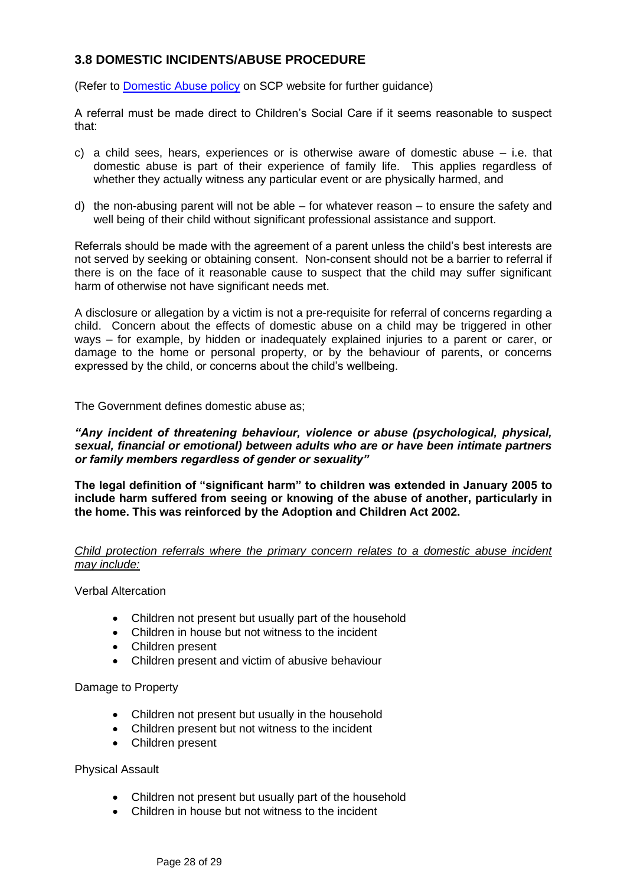# <span id="page-27-0"></span>**3.8 DOMESTIC INCIDENTS/ABUSE PROCEDURE**

(Refer to [Domestic Abuse policy](http://www.suffolkscb.org.uk/assets/files/2014/Jan-2012-SSCB-DV-Guidance.pdf) on SCP website for further guidance)

A referral must be made direct to Children's Social Care if it seems reasonable to suspect that:

- c) a child sees, hears, experiences or is otherwise aware of domestic abuse i.e. that domestic abuse is part of their experience of family life. This applies regardless of whether they actually witness any particular event or are physically harmed, and
- d) the non-abusing parent will not be able for whatever reason to ensure the safety and well being of their child without significant professional assistance and support.

Referrals should be made with the agreement of a parent unless the child's best interests are not served by seeking or obtaining consent. Non-consent should not be a barrier to referral if there is on the face of it reasonable cause to suspect that the child may suffer significant harm of otherwise not have significant needs met.

A disclosure or allegation by a victim is not a pre-requisite for referral of concerns regarding a child. Concern about the effects of domestic abuse on a child may be triggered in other ways – for example, by hidden or inadequately explained injuries to a parent or carer, or damage to the home or personal property, or by the behaviour of parents, or concerns expressed by the child, or concerns about the child's wellbeing.

The Government defines domestic abuse as;

#### *"Any incident of threatening behaviour, violence or abuse (psychological, physical, sexual, financial or emotional) between adults who are or have been intimate partners or family members regardless of gender or sexuality"*

**The legal definition of "significant harm" to children was extended in January 2005 to include harm suffered from seeing or knowing of the abuse of another, particularly in the home. This was reinforced by the Adoption and Children Act 2002.**

## *Child protection referrals where the primary concern relates to a domestic abuse incident may include:*

Verbal Altercation

- Children not present but usually part of the household
- Children in house but not witness to the incident
- Children present
- Children present and victim of abusive behaviour

Damage to Property

- Children not present but usually in the household
- Children present but not witness to the incident
- Children present

Physical Assault

- Children not present but usually part of the household
- Children in house but not witness to the incident